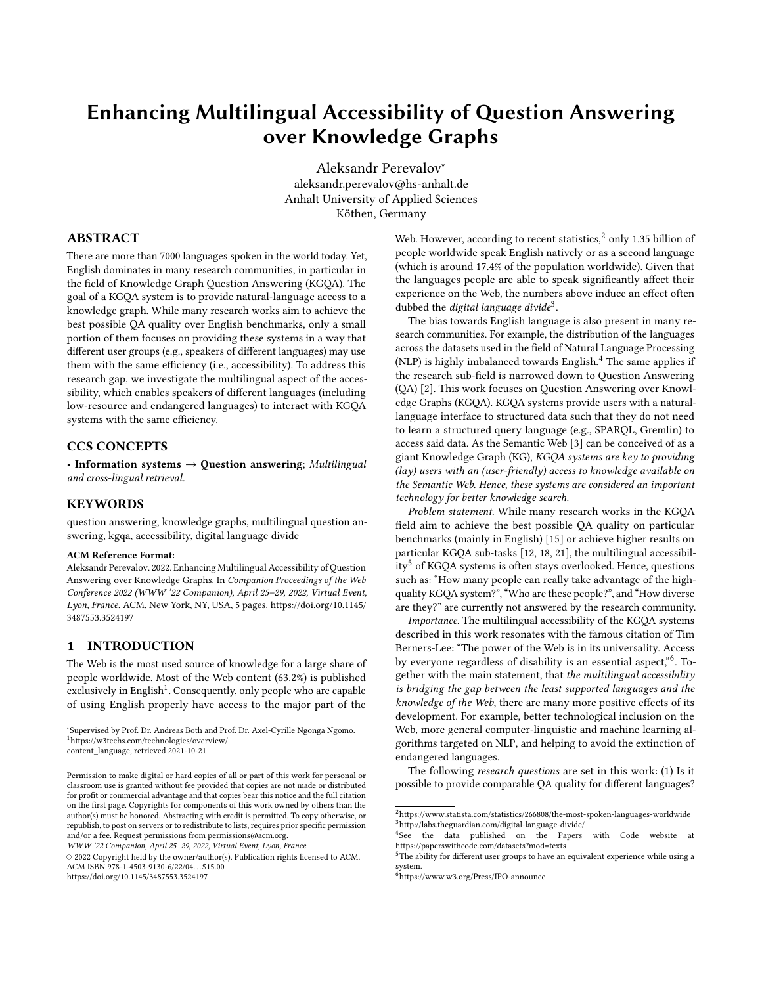# Enhancing Multilingual Accessibility of Question Answering over Knowledge Graphs

Aleksandr Perevalov<sup>∗</sup> aleksandr.perevalov@hs-anhalt.de Anhalt University of Applied Sciences Köthen, Germany

# ABSTRACT

There are more than 7000 languages spoken in the world today. Yet, English dominates in many research communities, in particular in the field of Knowledge Graph Question Answering (KGQA). The goal of a KGQA system is to provide natural-language access to a knowledge graph. While many research works aim to achieve the best possible QA quality over English benchmarks, only a small portion of them focuses on providing these systems in a way that different user groups (e.g., speakers of different languages) may use them with the same efficiency (i.e., accessibility). To address this research gap, we investigate the multilingual aspect of the accessibility, which enables speakers of different languages (including low-resource and endangered languages) to interact with KGQA systems with the same efficiency.

#### CCS CONCEPTS

• Information systems  $\rightarrow$  Question answering; Multilingual and cross-lingual retrieval.

#### **KEYWORDS**

question answering, knowledge graphs, multilingual question answering, kgqa, accessibility, digital language divide

#### ACM Reference Format:

Aleksandr Perevalov. 2022. Enhancing Multilingual Accessibility of Question Answering over Knowledge Graphs. In Companion Proceedings of the Web Conference 2022 (WWW '22 Companion), April 25–29, 2022, Virtual Event, Lyon, France. ACM, New York, NY, USA, [5](#page-4-0) pages. [https://doi.org/10.1145/](https://doi.org/10.1145/3487553.3524197) [3487553.3524197](https://doi.org/10.1145/3487553.3524197)

# <span id="page-0-6"></span>1 INTRODUCTION

The Web is the most used source of knowledge for a large share of people worldwide. Most of the Web content (63.2%) is published exclusively in English<sup>[1](#page-0-0)</sup>. Consequently, only people who are capable of using English properly have access to the major part of the

WWW '22 Companion, April 25–29, 2022, Virtual Event, Lyon, France

© 2022 Copyright held by the owner/author(s). Publication rights licensed to ACM. ACM ISBN 978-1-4503-9130-6/22/04. . . \$15.00 <https://doi.org/10.1145/3487553.3524197>

Web. However, according to recent statistics, $^2$  $^2$  only 1.35 billion of people worldwide speak English natively or as a second language (which is around 17.4% of the population worldwide). Given that the languages people are able to speak significantly affect their experience on the Web, the numbers above induce an effect often dubbed the *digital language divide*<sup>[3](#page-0-2)</sup>.

The bias towards English language is also present in many research communities. For example, the distribution of the languages across the datasets used in the field of Natural Language Processing (NLP) is highly imbalanced towards English.<sup>[4](#page-0-3)</sup> The same applies if the research sub-field is narrowed down to Question Answering (QA) [\[2\]](#page-4-1). This work focuses on Question Answering over Knowledge Graphs (KGQA). KGQA systems provide users with a naturallanguage interface to structured data such that they do not need to learn a structured query language (e.g., SPARQL, Gremlin) to access said data. As the Semantic Web [\[3\]](#page-4-2) can be conceived of as a giant Knowledge Graph (KG), KGQA systems are key to providing (lay) users with an (user-friendly) access to knowledge available on the Semantic Web. Hence, these systems are considered an important technology for better knowledge search.

Problem statement. While many research works in the KGQA field aim to achieve the best possible QA quality on particular benchmarks (mainly in English) [\[15\]](#page-4-3) or achieve higher results on particular KGQA sub-tasks [\[12,](#page-4-4) [18,](#page-4-5) [21\]](#page-4-6), the multilingual accessibil-ity<sup>[5](#page-0-4)</sup> of KGQA systems is often stays overlooked. Hence, questions such as: "How many people can really take advantage of the highquality KGQA system?", "Who are these people?", and "How diverse are they?" are currently not answered by the research community.

Importance. The multilingual accessibility of the KGQA systems described in this work resonates with the famous citation of Tim Berners-Lee: "The power of the Web is in its universality. Access by everyone regardless of disability is an essential aspect,"<sup>[6](#page-0-5)</sup>. Together with the main statement, that the multilingual accessibility is bridging the gap between the least supported languages and the knowledge of the Web, there are many more positive effects of its development. For example, better technological inclusion on the Web, more general computer-linguistic and machine learning algorithms targeted on NLP, and helping to avoid the extinction of endangered languages.

The following research questions are set in this work: (1) Is it possible to provide comparable QA quality for different languages?

<span id="page-0-0"></span><sup>∗</sup> Supervised by [Prof. Dr. Andreas Both](http://www.andreasboth.de/en) and [Prof. Dr. Axel-Cyrille Ngonga Ngomo.](https://en.cs.uni-paderborn.de/ds/person/65716) <sup>1</sup>[https://w3techs.com/technologies/overview/](https://w3techs.com/technologies/overview/content_language)

[content\\_language,](https://w3techs.com/technologies/overview/content_language) retrieved 2021-10-21

Permission to make digital or hard copies of all or part of this work for personal or classroom use is granted without fee provided that copies are not made or distributed for profit or commercial advantage and that copies bear this notice and the full citation on the first page. Copyrights for components of this work owned by others than the author(s) must be honored. Abstracting with credit is permitted. To copy otherwise, or republish, to post on servers or to redistribute to lists, requires prior specific permission and/or a fee. Request permissions from permissions@acm.org.

<span id="page-0-2"></span><span id="page-0-1"></span><sup>2</sup><https://www.statista.com/statistics/266808/the-most-spoken-languages-worldwide>  $^3$ <http://labs.theguardian.com/digital-language-divide/>  $\,$ 

<span id="page-0-3"></span><sup>4</sup> See the data published on the Papers with Code website at <https://paperswithcode.com/datasets?mod=texts>

<span id="page-0-4"></span> $5$ The ability for different user groups to have an equivalent experience while using a system.

<span id="page-0-5"></span><sup>6</sup><https://www.w3.org/Press/IPO-announce>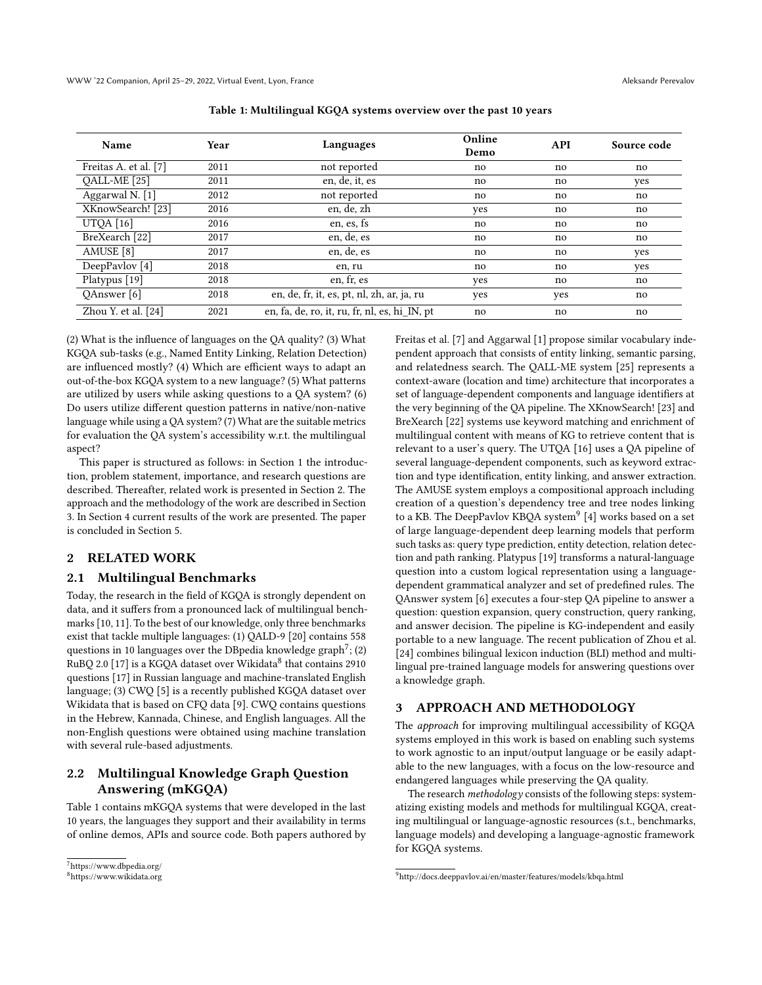<span id="page-1-4"></span>

| Name                  | Year | Languages                                     | Online<br>Demo | <b>API</b> | Source code |
|-----------------------|------|-----------------------------------------------|----------------|------------|-------------|
| Freitas A. et al. [7] | 2011 | not reported                                  | no             | no         | no          |
| QALL-ME [25]          | 2011 | en, de, it, es                                | no             | no         | yes         |
| Aggarwal N. [1]       | 2012 | not reported                                  | no             | no         | no          |
| XKnowSearch! [23]     | 2016 | en, de, zh                                    | yes            | no         | no          |
| UTQA $[16]$           | 2016 | en, es, fs                                    | no             | no         | no          |
| BreXearch [22]        | 2017 | en, de, es                                    | no             | no         | no          |
| AMUSE <sup>[8]</sup>  | 2017 | en, de, es                                    | no             | no         | yes         |
| DeepPavlov [4]        | 2018 | en, ru                                        | no             | no         | yes         |
| Platypus [19]         | 2018 | en, fr, es                                    | yes            | no         | no          |
| QAnswer [6]           | 2018 | en, de, fr, it, es, pt, nl, zh, ar, ja, ru    | yes            | yes        | no          |
| Zhou Y. et al. $[24]$ | 2021 | en, fa, de, ro, it, ru, fr, nl, es, hi IN, pt | no             | no         | no          |

Table 1: Multilingual KGQA systems overview over the past 10 years

(2) What is the influence of languages on the QA quality? (3) What KGQA sub-tasks (e.g., Named Entity Linking, Relation Detection) are influenced mostly? (4) Which are efficient ways to adapt an out-of-the-box KGQA system to a new language? (5) What patterns are utilized by users while asking questions to a QA system? (6) Do users utilize different question patterns in native/non-native language while using a QA system? (7) What are the suitable metrics for evaluation the QA system's accessibility w.r.t. the multilingual aspect?

This paper is structured as follows: in Section [1](#page-0-6) the introduction, problem statement, importance, and research questions are described. Thereafter, related work is presented in Section [2.](#page-1-0) The approach and the methodology of the work are described in Section [3.](#page-1-1) In Section [4](#page-2-0) current results of the work are presented. The paper is concluded in Section [5.](#page-2-1)

## <span id="page-1-0"></span>2 RELATED WORK

#### 2.1 Multilingual Benchmarks

Today, the research in the field of KGQA is strongly dependent on data, and it suffers from a pronounced lack of multilingual benchmarks [\[10,](#page-4-18) [11\]](#page-4-19). To the best of our knowledge, only three benchmarks exist that tackle multiple languages: (1) QALD-9 [\[20\]](#page-4-20) contains 558 questions in 10 languages over the DBpedia knowledge graph<sup>[7](#page-1-2)</sup>; (2)  $\rm RuBQ$  2.0 [\[17\]](#page-4-21) is a KGQA dataset over Wikidata $^8$  $^8$  that contains 2910 questions [\[17\]](#page-4-21) in Russian language and machine-translated English language; (3) CWQ [\[5\]](#page-4-22) is a recently published KGQA dataset over Wikidata that is based on CFQ data [\[9\]](#page-4-23). CWQ contains questions in the Hebrew, Kannada, Chinese, and English languages. All the non-English questions were obtained using machine translation with several rule-based adjustments.

# 2.2 Multilingual Knowledge Graph Question Answering (mKGQA)

Table [1](#page-1-4) contains mKGQA systems that were developed in the last 10 years, the languages they support and their availability in terms of online demos, APIs and source code. Both papers authored by Freitas et al. [\[7\]](#page-4-7) and Aggarwal [\[1\]](#page-4-9) propose similar vocabulary independent approach that consists of entity linking, semantic parsing, and relatedness search. The QALL-ME system [\[25\]](#page-4-8) represents a context-aware (location and time) architecture that incorporates a set of language-dependent components and language identifiers at the very beginning of the QA pipeline. The XKnowSearch! [\[23\]](#page-4-10) and BreXearch [\[22\]](#page-4-12) systems use keyword matching and enrichment of multilingual content with means of KG to retrieve content that is relevant to a user's query. The UTQA [\[16\]](#page-4-11) uses a QA pipeline of several language-dependent components, such as keyword extraction and type identification, entity linking, and answer extraction. The AMUSE system employs a compositional approach including creation of a question's dependency tree and tree nodes linking to a KB. The DeepPavlov KBQA system $^9$  $^9$  [\[4\]](#page-4-14) works based on a set of large language-dependent deep learning models that perform such tasks as: query type prediction, entity detection, relation detection and path ranking. Platypus [\[19\]](#page-4-15) transforms a natural-language question into a custom logical representation using a languagedependent grammatical analyzer and set of predefined rules. The QAnswer system [\[6\]](#page-4-16) executes a four-step QA pipeline to answer a question: question expansion, query construction, query ranking, and answer decision. The pipeline is KG-independent and easily portable to a new language. The recent publication of Zhou et al. [\[24\]](#page-4-17) combines bilingual lexicon induction (BLI) method and multilingual pre-trained language models for answering questions over a knowledge graph.

# <span id="page-1-1"></span>3 APPROACH AND METHODOLOGY

The approach for improving multilingual accessibility of KGQA systems employed in this work is based on enabling such systems to work agnostic to an input/output language or be easily adaptable to the new languages, with a focus on the low-resource and endangered languages while preserving the QA quality.

The research methodology consists of the following steps: systematizing existing models and methods for multilingual KGQA, creating multilingual or language-agnostic resources (s.t., benchmarks, language models) and developing a language-agnostic framework for KGQA systems.

<span id="page-1-2"></span><sup>7</sup><https://www.dbpedia.org/>

<span id="page-1-3"></span><sup>8</sup><https://www.wikidata.org>

<span id="page-1-5"></span><sup>9</sup><http://docs.deeppavlov.ai/en/master/features/models/kbqa.html>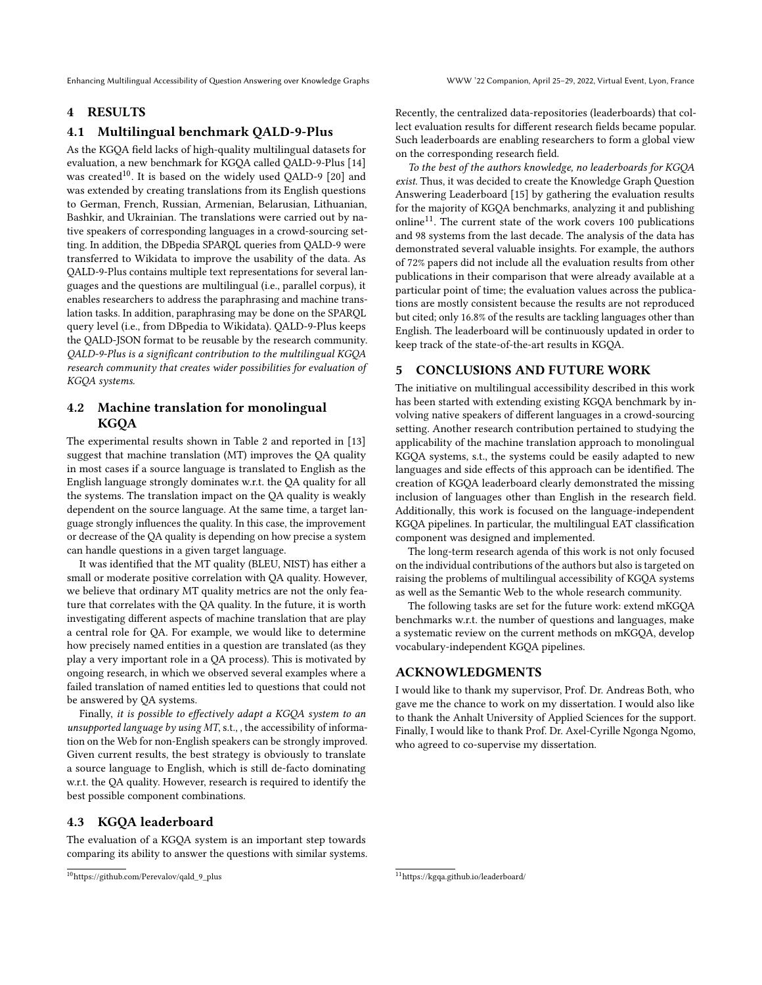Enhancing Multilingual Accessibility of Question Answering over Knowledge Graphs WWW '22 Companion, April 25–29, 2022, Virtual Event, Lyon, France

### <span id="page-2-0"></span>4 RESULTS

## 4.1 Multilingual benchmark QALD-9-Plus

As the KGQA field lacks of high-quality multilingual datasets for evaluation, a new benchmark for KGQA called QALD-9-Plus [\[14\]](#page-4-24) was created<sup>[10](#page-2-2)</sup>. It is based on the widely used QALD-9 [\[20\]](#page-4-20) and was extended by creating translations from its English questions to German, French, Russian, Armenian, Belarusian, Lithuanian, Bashkir, and Ukrainian. The translations were carried out by native speakers of corresponding languages in a crowd-sourcing setting. In addition, the DBpedia SPARQL queries from QALD-9 were transferred to Wikidata to improve the usability of the data. As QALD-9-Plus contains multiple text representations for several languages and the questions are multilingual (i.e., parallel corpus), it enables researchers to address the paraphrasing and machine translation tasks. In addition, paraphrasing may be done on the SPARQL query level (i.e., from DBpedia to Wikidata). QALD-9-Plus keeps the QALD-JSON format to be reusable by the research community. QALD-9-Plus is a significant contribution to the multilingual KGQA research community that creates wider possibilities for evaluation of KGQA systems.

# 4.2 Machine translation for monolingual KGQA

The experimental results shown in Table [2](#page-3-0) and reported in [\[13\]](#page-4-25) suggest that machine translation (MT) improves the QA quality in most cases if a source language is translated to English as the English language strongly dominates w.r.t. the QA quality for all the systems. The translation impact on the QA quality is weakly dependent on the source language. At the same time, a target language strongly influences the quality. In this case, the improvement or decrease of the QA quality is depending on how precise a system can handle questions in a given target language.

It was identified that the MT quality (BLEU, NIST) has either a small or moderate positive correlation with QA quality. However, we believe that ordinary MT quality metrics are not the only feature that correlates with the QA quality. In the future, it is worth investigating different aspects of machine translation that are play a central role for QA. For example, we would like to determine how precisely named entities in a question are translated (as they play a very important role in a QA process). This is motivated by ongoing research, in which we observed several examples where a failed translation of named entities led to questions that could not be answered by QA systems.

Finally, it is possible to effectively adapt a KGQA system to an unsupported language by using  $MT$ , s.t., , the accessibility of information on the Web for non-English speakers can be strongly improved. Given current results, the best strategy is obviously to translate a source language to English, which is still de-facto dominating w.r.t. the QA quality. However, research is required to identify the best possible component combinations.

# 4.3 KGQA leaderboard

The evaluation of a KGQA system is an important step towards comparing its ability to answer the questions with similar systems. Recently, the centralized data-repositories (leaderboards) that collect evaluation results for different research fields became popular. Such leaderboards are enabling researchers to form a global view on the corresponding research field.

To the best of the authors knowledge, no leaderboards for KGQA exist. Thus, it was decided to create the Knowledge Graph Question Answering Leaderboard [\[15\]](#page-4-3) by gathering the evaluation results for the majority of KGQA benchmarks, analyzing it and publishing online<sup>[11](#page-2-3)</sup>. The current state of the work covers 100 publications and 98 systems from the last decade. The analysis of the data has demonstrated several valuable insights. For example, the authors of 72% papers did not include all the evaluation results from other publications in their comparison that were already available at a particular point of time; the evaluation values across the publications are mostly consistent because the results are not reproduced but cited; only 16.8% of the results are tackling languages other than English. The leaderboard will be continuously updated in order to keep track of the state-of-the-art results in KGQA.

# <span id="page-2-1"></span>5 CONCLUSIONS AND FUTURE WORK

The initiative on multilingual accessibility described in this work has been started with extending existing KGQA benchmark by involving native speakers of different languages in a crowd-sourcing setting. Another research contribution pertained to studying the applicability of the machine translation approach to monolingual KGQA systems, s.t., the systems could be easily adapted to new languages and side effects of this approach can be identified. The creation of KGQA leaderboard clearly demonstrated the missing inclusion of languages other than English in the research field. Additionally, this work is focused on the language-independent KGQA pipelines. In particular, the multilingual EAT classification component was designed and implemented.

The long-term research agenda of this work is not only focused on the individual contributions of the authors but also is targeted on raising the problems of multilingual accessibility of KGQA systems as well as the Semantic Web to the whole research community.

The following tasks are set for the future work: extend mKGQA benchmarks w.r.t. the number of questions and languages, make a systematic review on the current methods on mKGQA, develop vocabulary-independent KGQA pipelines.

### ACKNOWLEDGMENTS

I would like to thank my supervisor, Prof. Dr. Andreas Both, who gave me the chance to work on my dissertation. I would also like to thank the Anhalt University of Applied Sciences for the support. Finally, I would like to thank Prof. Dr. Axel-Cyrille Ngonga Ngomo, who agreed to co-supervise my dissertation.

<span id="page-2-2"></span><sup>10</sup>[https://github.com/Perevalov/qald\\_9\\_plus](https://github.com/Perevalov/qald_9_plus)

<span id="page-2-3"></span><sup>11</sup><https://kgqa.github.io/leaderboard/>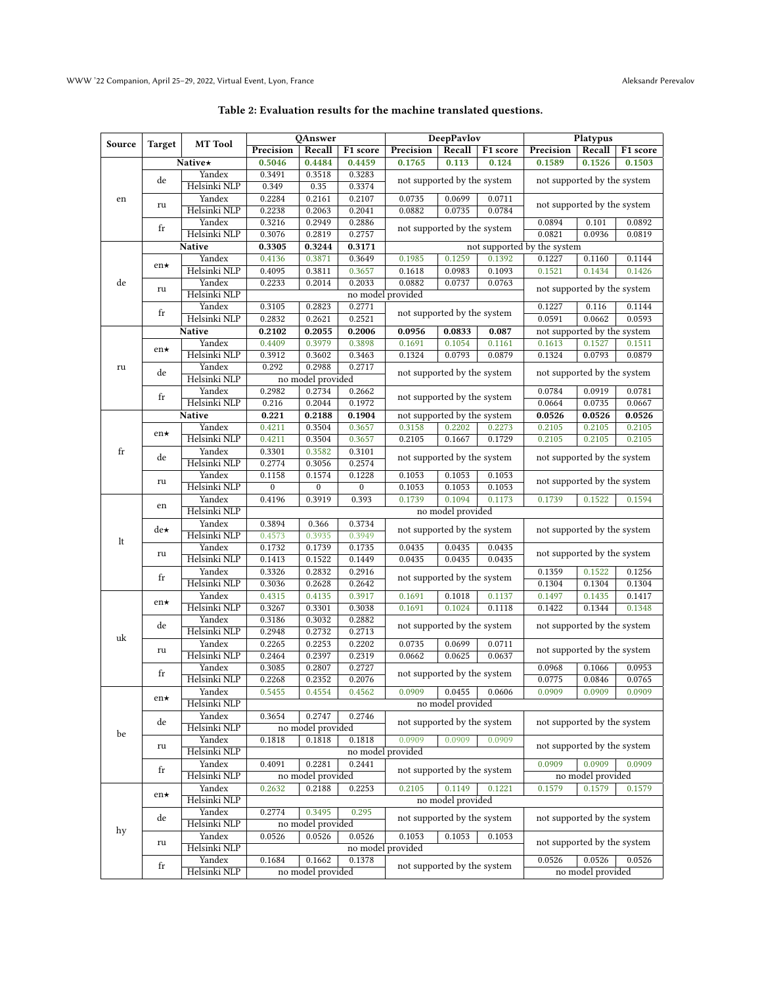| Table 2: Evaluation results for the machine translated questions. |
|-------------------------------------------------------------------|
|-------------------------------------------------------------------|

<span id="page-3-0"></span>

|             | Target            | <b>MT</b> Tool         | <b>QAnswer</b>   |                   | <b>DeepPavlov</b> |                                                                      | Platypus                                        |          |                             |                             |          |  |
|-------------|-------------------|------------------------|------------------|-------------------|-------------------|----------------------------------------------------------------------|-------------------------------------------------|----------|-----------------------------|-----------------------------|----------|--|
| Source      |                   |                        | Precision        | Recall            | F1 score          | Precision                                                            | Recall                                          | F1 score | Precision                   | Recall                      | F1 score |  |
|             |                   | <b>Native</b> *        | 0.5046           | 0.4484            | 0.4459            | 0.1765                                                               | 0.113                                           | 0.124    | 0.1589                      | 0.1526                      | 0.1503   |  |
| en          |                   | Yandex                 | 0.3491           | 0.3518            | 0.3283            |                                                                      |                                                 |          |                             |                             |          |  |
|             | de                | Helsinki NLP           | 0.349            | 0.35              | 0.3374            | not supported by the system                                          |                                                 |          | not supported by the system |                             |          |  |
|             |                   | Yandex                 | 0.2284           | 0.2161            | 0.2107            | 0.0735<br>0.0699<br>0.0711                                           |                                                 |          |                             |                             |          |  |
|             | ru                | Helsinki NLP           | 0.2238           | 0.2063            | 0.2041            | 0.0882                                                               | not supported by the system<br>0.0784<br>0.0735 |          |                             |                             |          |  |
|             |                   | Yandex                 | 0.3216           | 0.2949            | 0.2886            |                                                                      |                                                 |          | 0.0894                      | 0.101                       | 0.0892   |  |
|             | fr                | Helsinki NLP           | 0.3076           | 0.2819            | 0.2757            |                                                                      | not supported by the system                     |          |                             | 0.0936                      | 0.0819   |  |
|             |                   | Native                 | 0.3305           | 0.3244            | 0.3171            | not supported by the system                                          |                                                 |          |                             |                             |          |  |
|             |                   | Yandex                 | 0.4136           | 0.3871            | 0.3649            | 0.1985                                                               | 0.1259                                          | 0.1392   | 0.1227                      | 0.1160                      | 0.1144   |  |
|             | $en\star$         | Helsinki NLP           | 0.4095           | 0.3811            | 0.3657            | 0.1618                                                               | 0.0983                                          | 0.1093   | 0.1521                      | 0.1434                      | 0.1426   |  |
| de          |                   | Yandex                 | 0.2233           | 0.2014            | 0.2033            | 0.0882                                                               | 0.0737                                          | 0.0763   |                             |                             |          |  |
|             | ru                | Helsinki NLP           |                  |                   |                   | not supported by the system<br>no model provided                     |                                                 |          |                             |                             |          |  |
|             |                   | Yandex                 | 0.3105           | 0.2823            | 0.2771            |                                                                      |                                                 |          | 0.1227                      | 0.116                       | 0.1144   |  |
|             | fr                | Helsinki NLP           | 0.2832           | 0.2621            | 0.2521            | not supported by the system                                          |                                                 | 0.0591   | 0.0662                      | 0.0593                      |          |  |
|             |                   | Native                 | 0.2102           | 0.2055            | 0.2006            | 0.0956                                                               | 0.0833                                          | 0.087    | not supported by the system |                             |          |  |
|             |                   | Yandex                 | 0.4409           | 0.3979            | 0.3898            | 0.1691                                                               | 0.1054                                          | 0.1161   | 0.1613                      | 0.1527                      | 0.1511   |  |
|             | $en\star$         | Helsinki NLP           | 0.3912           | 0.3602            | 0.3463            | 0.1324                                                               | 0.0793                                          | 0.0879   | 0.1324                      | 0.0793                      | 0.0879   |  |
| ru          | de                | Yandex                 | 0.292            | 0.2988            | 0.2717            | not supported by the system                                          |                                                 |          | not supported by the system |                             |          |  |
|             |                   | Helsinki NLP           |                  | no model provided |                   |                                                                      |                                                 |          |                             |                             |          |  |
|             | fr                | Yandex                 | 0.2982           | 0.2734            | 0.2662            | not supported by the system                                          |                                                 |          | 0.0784                      | 0.0919                      | 0.0781   |  |
|             |                   | Helsinki NLP           | 0.216            | 0.2044            | 0.1972            |                                                                      |                                                 |          | 0.0664                      | 0.0735                      | 0.0667   |  |
|             |                   | <b>Native</b>          | 0.221            | 0.2188            | 0.1904            | not supported by the system                                          |                                                 |          | 0.0526                      | 0.0526                      | 0.0526   |  |
|             | $en\star$         | Yandex                 | 0.4211           | 0.3504            | 0.3657            | 0.3158                                                               | 0.2202                                          | 0.2273   | 0.2105                      | 0.2105                      | 0.2105   |  |
|             |                   | Helsinki NLP           | 0.4211           | 0.3504            | 0.3657            | 0.2105                                                               | 0.1667                                          | 0.1729   | 0.2105                      | 0.2105                      | 0.2105   |  |
| $_{\rm fr}$ | de                | Yandex                 | 0.3301           | 0.3582            | 0.3101            | not supported by the system                                          |                                                 |          |                             | not supported by the system |          |  |
|             |                   | Helsinki NLP           | 0.2774           | 0.3056            | 0.2574            |                                                                      |                                                 |          |                             |                             |          |  |
|             | ru                | Yandex                 | 0.1158           | 0.1574            | 0.1228            | 0.1053                                                               | 0.1053                                          | 0.1053   | not supported by the system |                             |          |  |
|             |                   | Helsinki NLP           | $\overline{0}$   | $\boldsymbol{0}$  | $\bf{0}$          | 0.1053                                                               | 0.1053                                          | 0.1053   |                             |                             |          |  |
| lt          | en                | Yandex                 | 0.4196           | 0.3919            | 0.393             | 0.1739                                                               | 0.1094                                          | 0.1173   | 0.1739                      | 0.1522                      | 0.1594   |  |
|             |                   | Helsinki NLP           |                  |                   |                   |                                                                      | no model provided                               |          |                             |                             |          |  |
|             | de★               | Yandex                 | 0.3894           | 0.366             | 0.3734            | not supported by the system                                          |                                                 |          | not supported by the system |                             |          |  |
|             |                   | Helsinki NLP           | 0.4573           | 0.3935            | 0.3949            |                                                                      |                                                 |          |                             |                             |          |  |
|             | ru                | Yandex                 | 0.1732           | 0.1739            | 0.1735            | 0.0435                                                               | 0.0435                                          | 0.0435   | not supported by the system |                             |          |  |
|             | fr                | Helsinki NLP           | 0.1413           | 0.1522            | 0.1449            | 0.0435                                                               | 0.0435                                          | 0.0435   |                             |                             |          |  |
|             |                   | Yandex                 | 0.3326           | 0.2832            | 0.2916            | not supported by the system                                          |                                                 | 0.1359   | 0.1522                      | 0.1256                      |          |  |
|             |                   | Helsinki NLP           | 0.3036           | 0.2628            | 0.2642            |                                                                      |                                                 |          | 0.1304<br>0.1304            |                             | 0.1304   |  |
| uk          | $en\star$         | Yandex                 | 0.4315           | 0.4135            | 0.3917            | 0.1691                                                               | 0.1018                                          | 0.1137   | 0.1497                      | 0.1435                      | 0.1417   |  |
|             |                   | Helsinki NLP           | 0.3267           | 0.3301            | 0.3038            | 0.1691                                                               | 0.1024                                          | 0.1118   | 0.1422                      | 0.1344                      | 0.1348   |  |
|             | de                | Yandex<br>Helsinki NLP | 0.3186<br>0.2948 | 0.3032<br>0.2732  | 0.2882<br>0.2713  | not supported by the system                                          |                                                 |          | not supported by the system |                             |          |  |
|             |                   | Yandex                 | 0.2265           | 0.2253            | 0.2202            | 0.0735                                                               | 0.0699                                          | 0.0711   |                             |                             |          |  |
|             | ru<br>$_{\rm fr}$ | Helsinki NLP           | 0.2464           | 0.2397            | 0.2319            | 0.0662                                                               | 0.0625                                          | 0.0637   | not supported by the system |                             |          |  |
|             |                   | Yandex                 | 0.3085           | 0.2807            | 0.2727            |                                                                      |                                                 |          | 0.0968                      | 0.1066                      | 0.0953   |  |
|             |                   | Helsinki NLP           | 0.2268           | 0.2352            | 0.2076            | not supported by the system                                          |                                                 |          | 0.0775<br>0.0846            |                             | 0.0765   |  |
|             |                   | Yandex                 | 0.5455           | 0.4554            | 0.4562            | 0.0909                                                               | 0.0455                                          | 0.0606   | 0.0909<br>0.0909            |                             | 0.0909   |  |
| be          | en★               | Helsinki NLP           |                  |                   |                   |                                                                      | no model provided                               |          |                             |                             |          |  |
|             |                   | Yandex                 | 0.3654           | 0.2747            | 0.2746            |                                                                      |                                                 |          |                             |                             |          |  |
|             | de                | Helsinki NLP           |                  | no model provided |                   | not supported by the system                                          |                                                 |          | not supported by the system |                             |          |  |
|             |                   | Yandex                 | 0.1818           | 0.1818            | 0.1818            | 0.0909                                                               | 0.0909                                          | 0.0909   |                             |                             |          |  |
|             | ru                | Helsinki NLP           |                  |                   |                   | no model provided                                                    |                                                 |          | not supported by the system |                             |          |  |
|             |                   | Yandex                 | 0.4091           | 0.2281            | 0.2441            |                                                                      |                                                 |          | 0.0909                      | 0.0909                      | 0.0909   |  |
|             | fr                | Helsinki NLP           |                  | no model provided |                   | not supported by the system                                          |                                                 |          | no model provided           |                             |          |  |
| hy          |                   | Yandex                 | 0.2632           | 0.2188            | 0.2253            | 0.2105                                                               | 0.1149                                          | 0.1221   | 0.1579                      | 0.1579                      | 0.1579   |  |
|             | $en\star$         | Helsinki NLP           |                  |                   |                   |                                                                      | no model provided                               |          |                             |                             |          |  |
|             |                   | Yandex                 | 0.2774           | 0.3495            | 0.295             |                                                                      |                                                 |          |                             |                             |          |  |
|             | de                | Helsinki NLP           |                  | no model provided |                   | not supported by the system<br>not supported by the system           |                                                 |          |                             |                             |          |  |
|             |                   | Yandex                 | 0.0526           | 0.0526            | 0.0526            | 0.1053                                                               | 0.1053                                          | 0.1053   |                             |                             |          |  |
|             | ru                | Helsinki NLP           |                  |                   |                   | no model provided                                                    |                                                 |          | not supported by the system |                             |          |  |
|             |                   | Yandex                 | 0.1684           | 0.1662            | 0.1378            | 0.0526<br>0.0526<br>not supported by the system<br>no model provided |                                                 |          | 0.0526                      |                             |          |  |
|             | fr                | Helsinki NLP           |                  | no model provided |                   |                                                                      |                                                 |          |                             |                             |          |  |